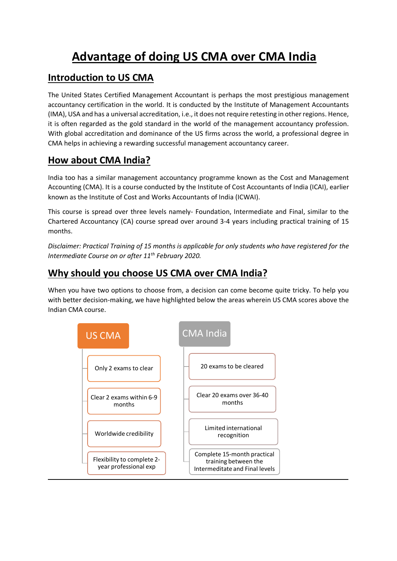# **Advantage of doing US CMA over CMA India**

#### **Introduction to US CMA**

The United States Certified Management Accountant is perhaps the most prestigious management accountancy certification in the world. It is conducted by the Institute of Management Accountants (IMA), USA and has a universal accreditation, i.e., it does not require retesting in other regions. Hence, it is often regarded as the gold standard in the world of the management accountancy profession. With global accreditation and dominance of the US firms across the world, a professional degree in CMA helps in achieving a rewarding successful management accountancy career.

### **How about CMA India?**

India too has a similar management accountancy programme known as the Cost and Management Accounting (CMA). It is a course conducted by the Institute of Cost Accountants of India (ICAI), earlier known as the Institute of Cost and Works Accountants of India (ICWAI).

This course is spread over three levels namely- Foundation, Intermediate and Final, similar to the Chartered Accountancy (CA) course spread over around 3-4 years including practical training of 15 months.

*Disclaimer: Practical Training of 15 months is applicable for only students who have registered for the Intermediate Course on or after 11th February 2020.*

#### **Why should you choose US CMA over CMA India?**

When you have two options to choose from, a decision can come become quite tricky. To help you with better decision-making, we have highlighted below the areas wherein US CMA scores above the Indian CMA course.